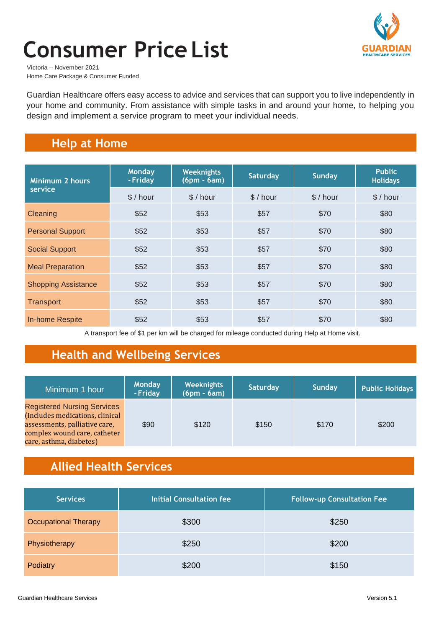# **Consumer Price List**



Victoria – November 2021 Home Care Package & Consumer Funded

Guardian Healthcare offers easy access to advice and services that can support you to live independently in your home and community. From assistance with simple tasks in and around your home, to helping you design and implement a service program to meet your individual needs.

## **Help at Home**

| <b>Minimum 2 hours</b>     | <b>Monday</b><br>- Friday | <b>Weeknights</b><br>$(6pm - 6am)$ | <b>Saturday</b> | <b>Sunday</b> | <b>Public</b><br><b>Holidays</b> |
|----------------------------|---------------------------|------------------------------------|-----------------|---------------|----------------------------------|
| service                    | $$/$ hour                 | \$/ hour                           | $$/$ hour       | $$/$ hour     | $$/$ hour                        |
| Cleaning                   | \$52                      | \$53                               | \$57            | \$70          | \$80                             |
| <b>Personal Support</b>    | \$52                      | \$53                               | \$57            | \$70          | \$80                             |
| <b>Social Support</b>      | \$52                      | \$53                               | \$57            | \$70          | \$80                             |
| <b>Meal Preparation</b>    | \$52                      | \$53                               | \$57            | \$70          | \$80                             |
| <b>Shopping Assistance</b> | \$52                      | \$53                               | \$57            | \$70          | \$80                             |
| <b>Transport</b>           | \$52                      | \$53                               | \$57            | \$70          | \$80                             |
| <b>In-home Respite</b>     | \$52                      | \$53                               | \$57            | \$70          | \$80                             |

A transport fee of \$1 per km will be charged for mileage conducted during Help at Home visit.

#### **Health and Wellbeing Services**

| Minimum 1 hour                                                                                                                                                    | <b>Monday</b><br>- Friday | <b>Weeknights</b><br>$(6pm - 6am)$ | <b>Saturday</b> | <b>Sunday</b> | <b>Public Holidays</b> |
|-------------------------------------------------------------------------------------------------------------------------------------------------------------------|---------------------------|------------------------------------|-----------------|---------------|------------------------|
| <b>Registered Nursing Services</b><br>(Includes medications, clinical<br>assessments, palliative care,<br>complex wound care, catheter<br>care, asthma, diabetes) | \$90                      | \$120                              | \$150           | \$170         | \$200                  |

### **Allied Health Services**

| <b>Services</b>             | Initial Consultation fee | <b>Follow-up Consultation Fee</b> |  |  |
|-----------------------------|--------------------------|-----------------------------------|--|--|
| <b>Occupational Therapy</b> | \$300                    | \$250                             |  |  |
| Physiotherapy               | \$250                    | \$200                             |  |  |
| Podiatry                    | \$200                    | \$150                             |  |  |